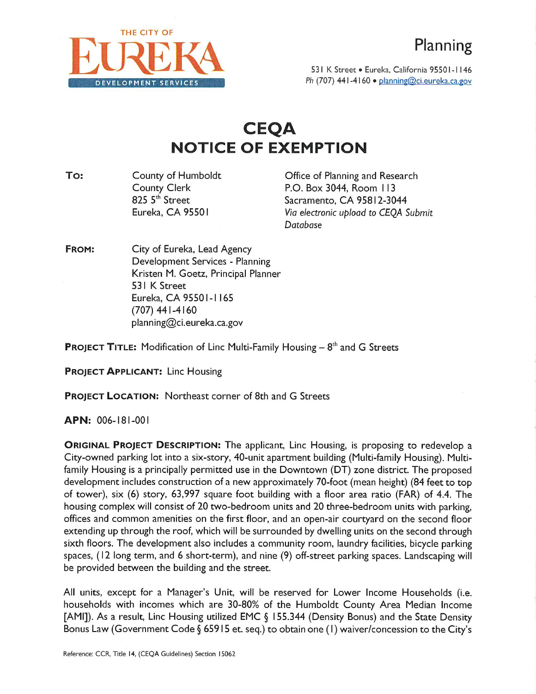

531 K Street • Eureka, California 95501-1146 **D E V E L O P M E N T S E R V I C E S** *Ph* (707) 441-4160 « planning@ci.eureka.ca.gov

## **CEQA NOTICE OF EXEMPTION**

County of Humboldt County Clerk 825 5<sup>th</sup> Street Eureka, CA 95501 **To:** County of Humboldt **County of Humboldt** Office of Planning and Research

P.O. Box 3044, Room I <sup>13</sup> Sacramento, CA 95812-3044 *Via electronic upload to CEQA Submit Database*

City of Eureka, Lead Agency Development Services - Planning Kristen M. Goetz, Principal Planner 531 K Street Eureka, CA 95501- <sup>1</sup> 165 (707) 441-4160 planning@ci.eureka.ca.gov **FROM:**

**PROJECT TITLE:** Modification of Line Multi-Family Housing - **<sup>8</sup> th** and G Streets

**PROJECT APPLICANT:** Line Housing

**PROJECT LOCATION:** Northeast corner of 8th and G Streets

**APN:** 006- 181-001

**ORIGINAL PROJECT DESCRIPTION:** The applicant, Line Housing, is proposing to redevelop <sup>a</sup> City-owned parking lot into <sup>a</sup> six-story, 40-unit apartment building (Multi-family Housing). Multifamily Housing is <sup>a</sup> principally permitted use in the Downtown (DT) zone district. The proposed development includes construction of <sup>a</sup> new approximately 70-foot (mean height) (84 feet to top of tower), six (6) story, 63,997 square foot building with <sup>a</sup> floor area ratio (FAR) of 4.4. The housing complex will consist of 20 two-bedroom units and 20 three-bedroom units with parking, offices and common amenities on the first floor, and an open-air courtyard on the second floor extending up through the roof, which will be surrounded by dwelling units on the second through sixth floors. The development also includes <sup>a</sup> community room, laundry facilities, bicycle parking spaces, ( <sup>12</sup> long term, and <sup>6</sup> short-term), and nine (9) off-street parking spaces. Landscaping will be provided between the building and the street.

All units, except for <sup>a</sup> Manager's Unit, will be reserved for Lower Income Households (i.e. households with incomes which are 30-80% of the Humboldt County Area Median Income [AMI]). As <sup>a</sup> result, Line Housing utilized EMC § <sup>I</sup> 55.344 (Density Bonus) and the State Density Bonus Law (Government Code § 65915 et. seq.) to obtain one (1) waiver/concession to the City's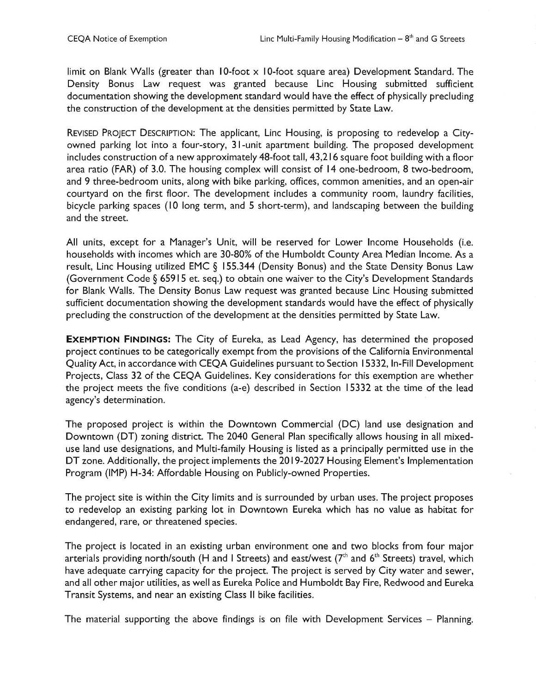limit on Blank Walls (greater than 10-foot x 10-foot square area) Development Standard. The Density Bonus Law request was granted because Line Housing submitted sufficient documentation showing the development standard would have the effect of physically precluding the construction of the development at the densities permitted by State Law.

REVISED PROJECT DESCRIPTION: The applicant, Line Housing, is proposing to redevelop <sup>a</sup> Cityowned parking lot into <sup>a</sup> four-story, <sup>3</sup> I-unit apartment building. The proposed development includes construction of <sup>a</sup> new approximately 48-foot tall, 43,216 square foot building with <sup>a</sup> floor area ratio (FAR) of 3.0. The housing complex will consist of <sup>14</sup> one-bedroom, 8 two-bedroom, and 9 three-bedroom units, along with bike parking, offices, common amenities, and an open-air courtyard on the first floor. The development includes <sup>a</sup> community room, laundry facilities, bicycle parking spaces (10 long term, and <sup>5</sup> short-term), and landscaping between the building and the street.

All units, except for <sup>a</sup> Manager's Unit, will be reserved for Lower Income Households (i.e. households with incomes which are 30-80% of the Humboldt County Area Median Income. As <sup>a</sup> result, Line Housing utilized EMC § 155.344 (Density Bonus) and the State Density Bonus Law (Government Code § 65915 et. seq.) to obtain one waiver to the City's Development Standards for Blank Walls. The Density Bonus Law request was granted because Line Housing submitted sufficient documentation showing the development standards would have the effect of physically precluding the construction of the development at the densities permitted by State Law.

**EXEMPTION FINDINGS:** The City of Eureka, as Lead Agency, has determined the proposed project continues to be categorically exempt from the provisions of the California Environmental Quality Act, in accordance with CEQA Guidelines pursuant to Section 15332, In-Fill Development Projects, Class 32 of the CEQA Guidelines. Key considerations for this exemption are whether the project meets the five conditions (a-e) described in Section 15332 at the time of the lead agency's determination.

The proposed project is within the Downtown Commercial (DC) land use designation and Downtown (DT) zoning district. The 2040 General Plan specifically allows housing in all mixeduse land use designations, and Multi-family Housing is listed as <sup>a</sup> principally permitted use in the DT zone. Additionally, the project implements the 2019-2027 Housing Element's Implementation Program (IMP) H-34: Affordable Housing on Publicly-owned Properties.

The project site is within the City limits and is surrounded by urban uses. The project proposes to redevelop an existing parking lot in Downtown Eureka which has no value as habitat for endangered, rare, or threatened species.

The project is located in an existing urban environment one and two blocks from four major arterials providing north/south (H and I Streets) and east/west ( $7<sup>th</sup>$  and  $6<sup>th</sup>$  Streets) travel, which have adequate carrying capacity for the project. The project is served by City water and sewer, and all other major utilities, as well as Eureka Police and Humboldt Bay Fire, Redwood and Eureka Transit Systems, and near an existing Class II bike facilities.

The material supporting the above findings is on file with Development Services - Planning.